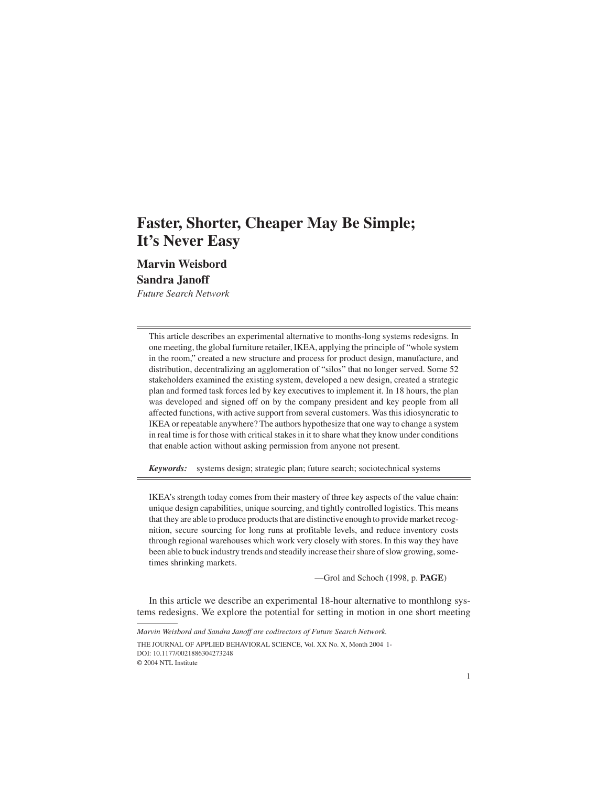# **Faster, Shorter, Cheaper May Be Simple; It's Never Easy**

**Marvin Weisbord Sandra Janoff**

*Future Search Network*

This article describes an experimental alternative to months-long systems redesigns. In one meeting, the global furniture retailer, IKEA, applying the principle of "whole system in the room," created a new structure and process for product design, manufacture, and distribution, decentralizing an agglomeration of "silos" that no longer served. Some 52 stakeholders examined the existing system, developed a new design, created a strategic plan and formed task forces led by key executives to implement it. In 18 hours, the plan was developed and signed off on by the company president and key people from all affected functions, with active support from several customers. Was this idiosyncratic to IKEA or repeatable anywhere? The authors hypothesize that one way to change a system in real time is for those with critical stakes in it to share what they know under conditions that enable action without asking permission from anyone not present.

*Keywords:* systems design; strategic plan; future search; sociotechnical systems

IKEA's strength today comes from their mastery of three key aspects of the value chain: unique design capabilities, unique sourcing, and tightly controlled logistics. This means that they are able to produce products that are distinctive enough to provide market recognition, secure sourcing for long runs at profitable levels, and reduce inventory costs through regional warehouses which work very closely with stores. In this way they have been able to buck industry trends and steadily increase their share of slow growing, sometimes shrinking markets.

—Grol and Schoch (1998, p. **PAGE**)

In this article we describe an experimental 18-hour alternative to monthlong systems redesigns. We explore the potential for setting in motion in one short meeting

*Marvin Weisbord and Sandra Janoff are codirectors of Future Search Network.*

THE JOURNAL OF APPLIED BEHAVIORAL SCIENCE, Vol. XX No. X, Month 2004 1- DOI: 10.1177/0021886304273248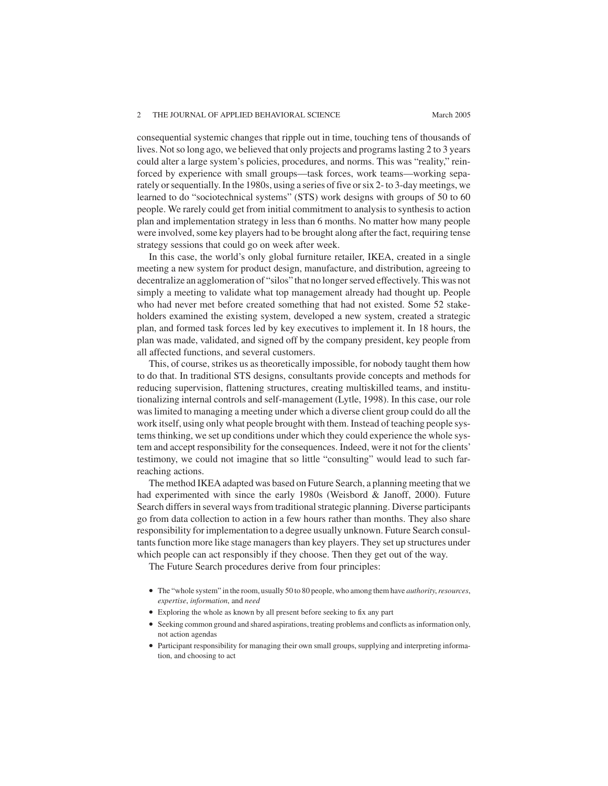consequential systemic changes that ripple out in time, touching tens of thousands of lives. Not so long ago, we believed that only projects and programs lasting 2 to 3 years could alter a large system's policies, procedures, and norms. This was "reality," reinforced by experience with small groups—task forces, work teams—working separately or sequentially. In the 1980s, using a series of five or six 2- to 3-day meetings, we learned to do "sociotechnical systems" (STS) work designs with groups of 50 to 60 people. We rarely could get from initial commitment to analysis to synthesis to action plan and implementation strategy in less than 6 months. No matter how many people were involved, some key players had to be brought along after the fact, requiring tense strategy sessions that could go on week after week.

In this case, the world's only global furniture retailer, IKEA, created in a single meeting a new system for product design, manufacture, and distribution, agreeing to decentralize an agglomeration of "silos" that no longer served effectively. This was not simply a meeting to validate what top management already had thought up. People who had never met before created something that had not existed. Some 52 stakeholders examined the existing system, developed a new system, created a strategic plan, and formed task forces led by key executives to implement it. In 18 hours, the plan was made, validated, and signed off by the company president, key people from all affected functions, and several customers.

This, of course, strikes us as theoretically impossible, for nobody taught them how to do that. In traditional STS designs, consultants provide concepts and methods for reducing supervision, flattening structures, creating multiskilled teams, and institutionalizing internal controls and self-management (Lytle, 1998). In this case, our role was limited to managing a meeting under which a diverse client group could do all the work itself, using only what people brought with them. Instead of teaching people systems thinking, we set up conditions under which they could experience the whole system and accept responsibility for the consequences. Indeed, were it not for the clients' testimony, we could not imagine that so little "consulting" would lead to such farreaching actions.

The method IKEA adapted was based on Future Search, a planning meeting that we had experimented with since the early 1980s (Weisbord & Janoff, 2000). Future Search differs in several ways from traditional strategic planning. Diverse participants go from data collection to action in a few hours rather than months. They also share responsibility for implementation to a degree usually unknown. Future Search consultants function more like stage managers than key players. They set up structures under which people can act responsibly if they choose. Then they get out of the way.

The Future Search procedures derive from four principles:

- The "whole system" in the room, usually 50 to 80 people, who among them have *authority*,*resources*, *expertise*, *information*, and *need*
- Exploring the whole as known by all present before seeking to fix any part
- Seeking common ground and shared aspirations, treating problems and conflicts as information only, not action agendas
- Participant responsibility for managing their own small groups, supplying and interpreting information, and choosing to act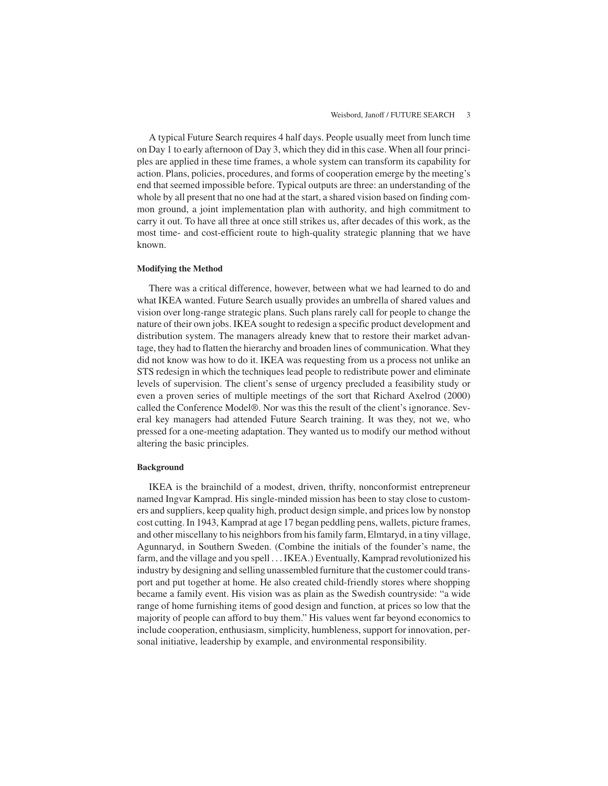A typical Future Search requires 4 half days. People usually meet from lunch time on Day 1 to early afternoon of Day 3, which they did in this case. When all four principles are applied in these time frames, a whole system can transform its capability for action. Plans, policies, procedures, and forms of cooperation emerge by the meeting's end that seemed impossible before. Typical outputs are three: an understanding of the whole by all present that no one had at the start, a shared vision based on finding common ground, a joint implementation plan with authority, and high commitment to carry it out. To have all three at once still strikes us, after decades of this work, as the most time- and cost-efficient route to high-quality strategic planning that we have known.

#### **Modifying the Method**

There was a critical difference, however, between what we had learned to do and what IKEA wanted. Future Search usually provides an umbrella of shared values and vision over long-range strategic plans. Such plans rarely call for people to change the nature of their own jobs. IKEA sought to redesign a specific product development and distribution system. The managers already knew that to restore their market advantage, they had to flatten the hierarchy and broaden lines of communication. What they did not know was how to do it. IKEA was requesting from us a process not unlike an STS redesign in which the techniques lead people to redistribute power and eliminate levels of supervision. The client's sense of urgency precluded a feasibility study or even a proven series of multiple meetings of the sort that Richard Axelrod (2000) called the Conference Model®. Nor was this the result of the client's ignorance. Several key managers had attended Future Search training. It was they, not we, who pressed for a one-meeting adaptation. They wanted us to modify our method without altering the basic principles.

# **Background**

IKEA is the brainchild of a modest, driven, thrifty, nonconformist entrepreneur named Ingvar Kamprad. His single-minded mission has been to stay close to customers and suppliers, keep quality high, product design simple, and prices low by nonstop cost cutting. In 1943, Kamprad at age 17 began peddling pens, wallets, picture frames, and other miscellany to his neighbors from his family farm, Elmtaryd, in a tiny village, Agunnaryd, in Southern Sweden. (Combine the initials of the founder's name, the farm, and the village and you spell . . . IKEA.) Eventually, Kamprad revolutionized his industry by designing and selling unassembled furniture that the customer could transport and put together at home. He also created child-friendly stores where shopping became a family event. His vision was as plain as the Swedish countryside: "a wide range of home furnishing items of good design and function, at prices so low that the majority of people can afford to buy them." His values went far beyond economics to include cooperation, enthusiasm, simplicity, humbleness, support for innovation, personal initiative, leadership by example, and environmental responsibility.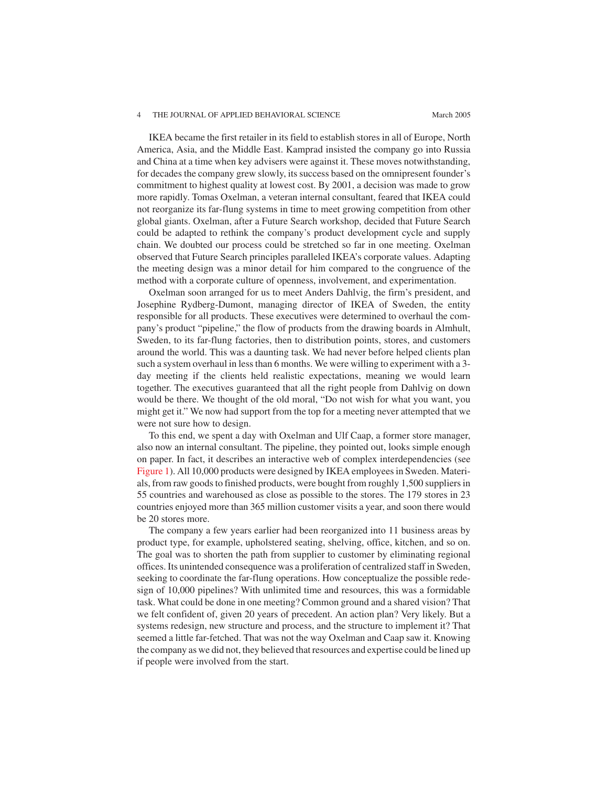IKEA became the first retailer in its field to establish stores in all of Europe, North America, Asia, and the Middle East. Kamprad insisted the company go into Russia and China at a time when key advisers were against it. These moves notwithstanding, for decades the company grew slowly, its success based on the omnipresent founder's commitment to highest quality at lowest cost. By 2001, a decision was made to grow more rapidly. Tomas Oxelman, a veteran internal consultant, feared that IKEA could not reorganize its far-flung systems in time to meet growing competition from other global giants. Oxelman, after a Future Search workshop, decided that Future Search could be adapted to rethink the company's product development cycle and supply chain. We doubted our process could be stretched so far in one meeting. Oxelman observed that Future Search principles paralleled IKEA's corporate values. Adapting the meeting design was a minor detail for him compared to the congruence of the method with a corporate culture of openness, involvement, and experimentation.

Oxelman soon arranged for us to meet Anders Dahlvig, the firm's president, and Josephine Rydberg-Dumont, managing director of IKEA of Sweden, the entity responsible for all products. These executives were determined to overhaul the company's product "pipeline," the flow of products from the drawing boards in Almhult, Sweden, to its far-flung factories, then to distribution points, stores, and customers around the world. This was a daunting task. We had never before helped clients plan such a system overhaul in less than 6 months. We were willing to experiment with a 3 day meeting if the clients held realistic expectations, meaning we would learn together. The executives guaranteed that all the right people from Dahlvig on down would be there. We thought of the old moral, "Do not wish for what you want, you might get it." We now had support from the top for a meeting never attempted that we were not sure how to design.

To this end, we spent a day with Oxelman and Ulf Caap, a former store manager, also now an internal consultant. The pipeline, they pointed out, looks simple enough on paper. In fact, it describes an interactive web of complex interdependencies (see Figure 1). All 10,000 products were designed by IKEA employees in Sweden. Materials, from raw goods to finished products, were bought from roughly 1,500 suppliers in 55 countries and warehoused as close as possible to the stores. The 179 stores in 23 countries enjoyed more than 365 million customer visits a year, and soon there would be 20 stores more.

The company a few years earlier had been reorganized into 11 business areas by product type, for example, upholstered seating, shelving, office, kitchen, and so on. The goal was to shorten the path from supplier to customer by eliminating regional offices. Its unintended consequence was a proliferation of centralized staff in Sweden, seeking to coordinate the far-flung operations. How conceptualize the possible redesign of 10,000 pipelines? With unlimited time and resources, this was a formidable task. What could be done in one meeting? Common ground and a shared vision? That we felt confident of, given 20 years of precedent. An action plan? Very likely. But a systems redesign, new structure and process, and the structure to implement it? That seemed a little far-fetched. That was not the way Oxelman and Caap saw it. Knowing the company as we did not, they believed that resources and expertise could be lined up if people were involved from the start.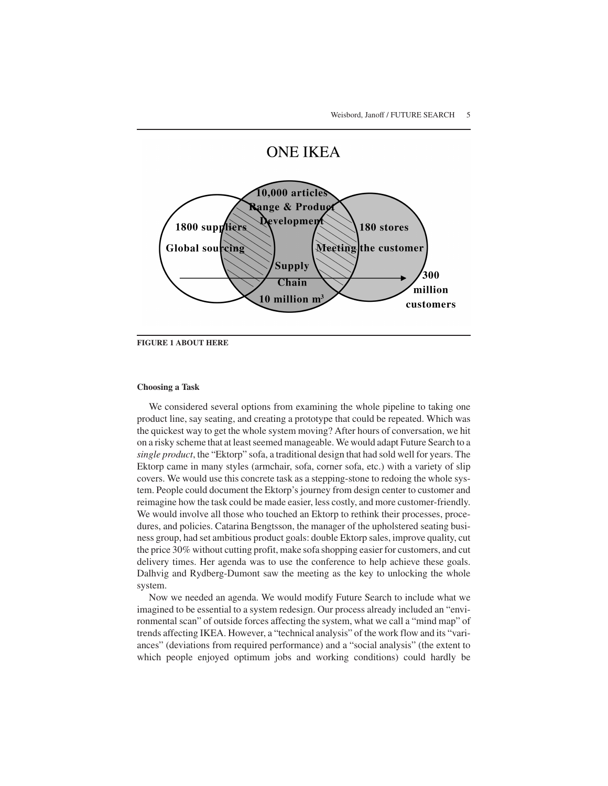

**FIGURE 1 ABOUT HERE**

## **Choosing a Task**

We considered several options from examining the whole pipeline to taking one product line, say seating, and creating a prototype that could be repeated. Which was the quickest way to get the whole system moving? After hours of conversation, we hit on a risky scheme that at least seemed manageable. We would adapt Future Search to a *single product*, the "Ektorp" sofa, a traditional design that had sold well for years. The Ektorp came in many styles (armchair, sofa, corner sofa, etc.) with a variety of slip covers. We would use this concrete task as a stepping-stone to redoing the whole system. People could document the Ektorp's journey from design center to customer and reimagine how the task could be made easier, less costly, and more customer-friendly. We would involve all those who touched an Ektorp to rethink their processes, procedures, and policies. Catarina Bengtsson, the manager of the upholstered seating business group, had set ambitious product goals: double Ektorp sales, improve quality, cut the price 30% without cutting profit, make sofa shopping easier for customers, and cut delivery times. Her agenda was to use the conference to help achieve these goals. Dalhvig and Rydberg-Dumont saw the meeting as the key to unlocking the whole system.

Now we needed an agenda. We would modify Future Search to include what we imagined to be essential to a system redesign. Our process already included an "environmental scan" of outside forces affecting the system, what we call a "mind map" of trends affecting IKEA. However, a "technical analysis" of the work flow and its "variances" (deviations from required performance) and a "social analysis" (the extent to which people enjoyed optimum jobs and working conditions) could hardly be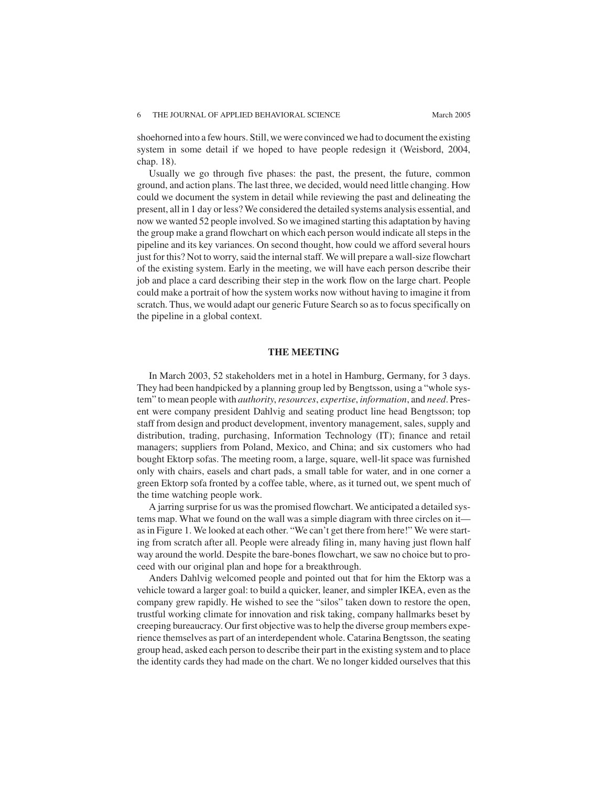shoehorned into a few hours. Still, we were convinced we had to document the existing system in some detail if we hoped to have people redesign it (Weisbord, 2004, chap. 18).

Usually we go through five phases: the past, the present, the future, common ground, and action plans. The last three, we decided, would need little changing. How could we document the system in detail while reviewing the past and delineating the present, all in 1 day or less? We considered the detailed systems analysis essential, and now we wanted 52 people involved. So we imagined starting this adaptation by having the group make a grand flowchart on which each person would indicate all steps in the pipeline and its key variances. On second thought, how could we afford several hours just for this? Not to worry, said the internal staff. We will prepare a wall-size flowchart of the existing system. Early in the meeting, we will have each person describe their job and place a card describing their step in the work flow on the large chart. People could make a portrait of how the system works now without having to imagine it from scratch. Thus, we would adapt our generic Future Search so as to focus specifically on the pipeline in a global context.

# **THE MEETING**

In March 2003, 52 stakeholders met in a hotel in Hamburg, Germany, for 3 days. They had been handpicked by a planning group led by Bengtsson, using a "whole system" to mean people with *authority*,*resources*, *expertise*, *information*, and *need*. Present were company president Dahlvig and seating product line head Bengtsson; top staff from design and product development, inventory management, sales, supply and distribution, trading, purchasing, Information Technology (IT); finance and retail managers; suppliers from Poland, Mexico, and China; and six customers who had bought Ektorp sofas. The meeting room, a large, square, well-lit space was furnished only with chairs, easels and chart pads, a small table for water, and in one corner a green Ektorp sofa fronted by a coffee table, where, as it turned out, we spent much of the time watching people work.

A jarring surprise for us was the promised flowchart. We anticipated a detailed systems map. What we found on the wall was a simple diagram with three circles on it as in Figure 1. We looked at each other. "We can't get there from here!" We were starting from scratch after all. People were already filing in, many having just flown half way around the world. Despite the bare-bones flowchart, we saw no choice but to proceed with our original plan and hope for a breakthrough.

Anders Dahlvig welcomed people and pointed out that for him the Ektorp was a vehicle toward a larger goal: to build a quicker, leaner, and simpler IKEA, even as the company grew rapidly. He wished to see the "silos" taken down to restore the open, trustful working climate for innovation and risk taking, company hallmarks beset by creeping bureaucracy. Our first objective was to help the diverse group members experience themselves as part of an interdependent whole. Catarina Bengtsson, the seating group head, asked each person to describe their part in the existing system and to place the identity cards they had made on the chart. We no longer kidded ourselves that this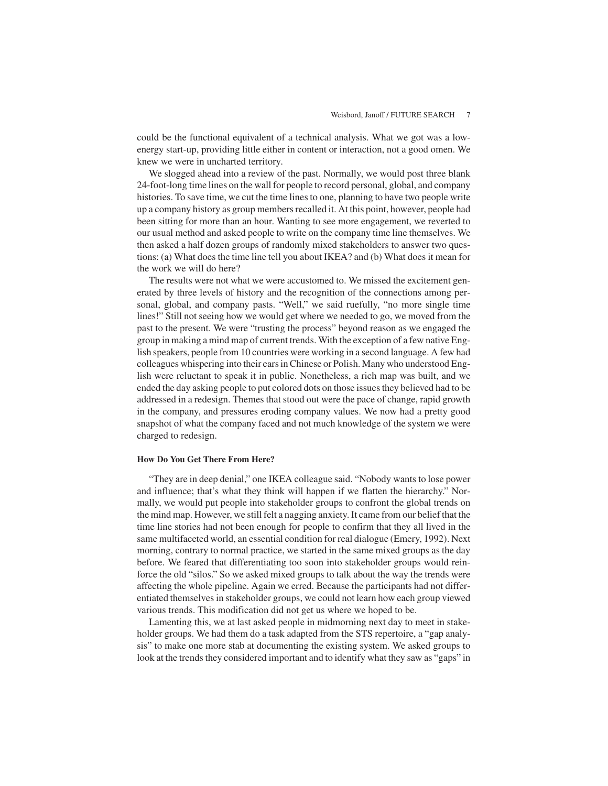could be the functional equivalent of a technical analysis. What we got was a lowenergy start-up, providing little either in content or interaction, not a good omen. We knew we were in uncharted territory.

We slogged ahead into a review of the past. Normally, we would post three blank 24-foot-long time lines on the wall for people to record personal, global, and company histories. To save time, we cut the time lines to one, planning to have two people write up a company history as group members recalled it. At this point, however, people had been sitting for more than an hour. Wanting to see more engagement, we reverted to our usual method and asked people to write on the company time line themselves. We then asked a half dozen groups of randomly mixed stakeholders to answer two questions: (a) What does the time line tell you about IKEA? and (b) What does it mean for the work we will do here?

The results were not what we were accustomed to. We missed the excitement generated by three levels of history and the recognition of the connections among personal, global, and company pasts. "Well," we said ruefully, "no more single time lines!" Still not seeing how we would get where we needed to go, we moved from the past to the present. We were "trusting the process" beyond reason as we engaged the group in making a mind map of current trends. With the exception of a few native English speakers, people from 10 countries were working in a second language. A few had colleagues whispering into their ears in Chinese or Polish. Many who understood English were reluctant to speak it in public. Nonetheless, a rich map was built, and we ended the day asking people to put colored dots on those issues they believed had to be addressed in a redesign. Themes that stood out were the pace of change, rapid growth in the company, and pressures eroding company values. We now had a pretty good snapshot of what the company faced and not much knowledge of the system we were charged to redesign.

# **How Do You Get There From Here?**

"They are in deep denial," one IKEA colleague said. "Nobody wants to lose power and influence; that's what they think will happen if we flatten the hierarchy." Normally, we would put people into stakeholder groups to confront the global trends on the mind map. However, we still felt a nagging anxiety. It came from our belief that the time line stories had not been enough for people to confirm that they all lived in the same multifaceted world, an essential condition for real dialogue (Emery, 1992). Next morning, contrary to normal practice, we started in the same mixed groups as the day before. We feared that differentiating too soon into stakeholder groups would reinforce the old "silos." So we asked mixed groups to talk about the way the trends were affecting the whole pipeline. Again we erred. Because the participants had not differentiated themselves in stakeholder groups, we could not learn how each group viewed various trends. This modification did not get us where we hoped to be.

Lamenting this, we at last asked people in midmorning next day to meet in stakeholder groups. We had them do a task adapted from the STS repertoire, a "gap analysis" to make one more stab at documenting the existing system. We asked groups to look at the trends they considered important and to identify what they saw as "gaps" in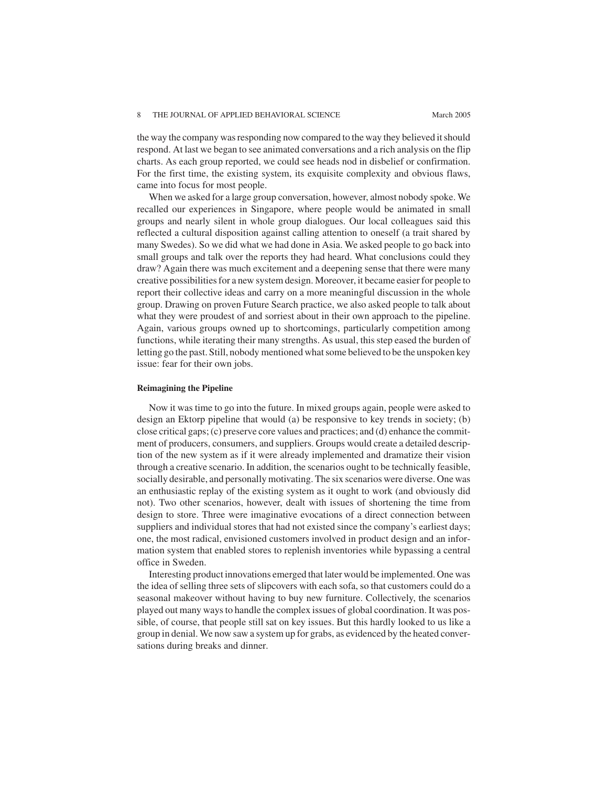the way the company was responding now compared to the way they believed it should respond. At last we began to see animated conversations and a rich analysis on the flip charts. As each group reported, we could see heads nod in disbelief or confirmation. For the first time, the existing system, its exquisite complexity and obvious flaws, came into focus for most people.

When we asked for a large group conversation, however, almost nobody spoke. We recalled our experiences in Singapore, where people would be animated in small groups and nearly silent in whole group dialogues. Our local colleagues said this reflected a cultural disposition against calling attention to oneself (a trait shared by many Swedes). So we did what we had done in Asia. We asked people to go back into small groups and talk over the reports they had heard. What conclusions could they draw? Again there was much excitement and a deepening sense that there were many creative possibilities for a new system design. Moreover, it became easier for people to report their collective ideas and carry on a more meaningful discussion in the whole group. Drawing on proven Future Search practice, we also asked people to talk about what they were proudest of and sorriest about in their own approach to the pipeline. Again, various groups owned up to shortcomings, particularly competition among functions, while iterating their many strengths. As usual, this step eased the burden of letting go the past. Still, nobody mentioned what some believed to be the unspoken key issue: fear for their own jobs.

# **Reimagining the Pipeline**

Now it was time to go into the future. In mixed groups again, people were asked to design an Ektorp pipeline that would (a) be responsive to key trends in society; (b) close critical gaps; (c) preserve core values and practices; and (d) enhance the commitment of producers, consumers, and suppliers. Groups would create a detailed description of the new system as if it were already implemented and dramatize their vision through a creative scenario. In addition, the scenarios ought to be technically feasible, socially desirable, and personally motivating. The six scenarios were diverse. One was an enthusiastic replay of the existing system as it ought to work (and obviously did not). Two other scenarios, however, dealt with issues of shortening the time from design to store. Three were imaginative evocations of a direct connection between suppliers and individual stores that had not existed since the company's earliest days; one, the most radical, envisioned customers involved in product design and an information system that enabled stores to replenish inventories while bypassing a central office in Sweden.

Interesting product innovations emerged that later would be implemented. One was the idea of selling three sets of slipcovers with each sofa, so that customers could do a seasonal makeover without having to buy new furniture. Collectively, the scenarios played out many ways to handle the complex issues of global coordination. It was possible, of course, that people still sat on key issues. But this hardly looked to us like a group in denial. We now saw a system up for grabs, as evidenced by the heated conversations during breaks and dinner.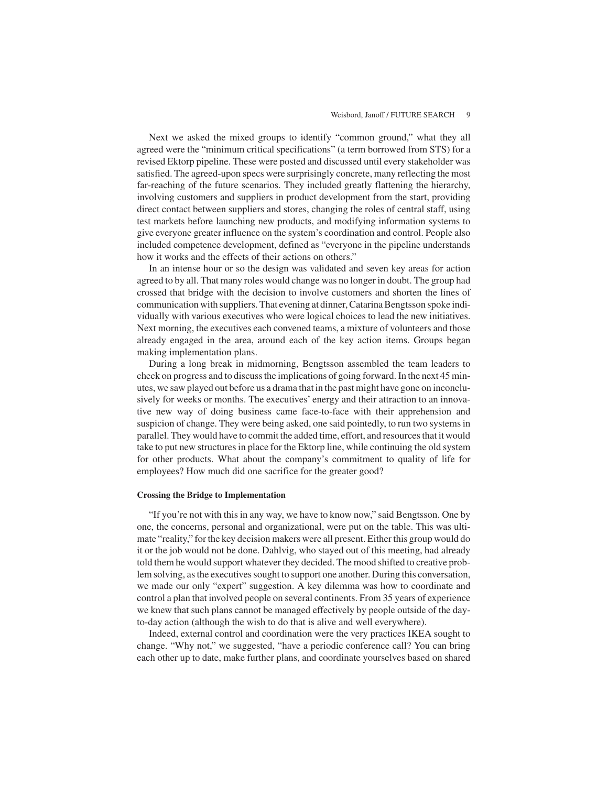Next we asked the mixed groups to identify "common ground," what they all agreed were the "minimum critical specifications" (a term borrowed from STS) for a revised Ektorp pipeline. These were posted and discussed until every stakeholder was satisfied. The agreed-upon specs were surprisingly concrete, many reflecting the most far-reaching of the future scenarios. They included greatly flattening the hierarchy, involving customers and suppliers in product development from the start, providing direct contact between suppliers and stores, changing the roles of central staff, using test markets before launching new products, and modifying information systems to give everyone greater influence on the system's coordination and control. People also included competence development, defined as "everyone in the pipeline understands how it works and the effects of their actions on others."

In an intense hour or so the design was validated and seven key areas for action agreed to by all. That many roles would change was no longer in doubt. The group had crossed that bridge with the decision to involve customers and shorten the lines of communication with suppliers. That evening at dinner, Catarina Bengtsson spoke individually with various executives who were logical choices to lead the new initiatives. Next morning, the executives each convened teams, a mixture of volunteers and those already engaged in the area, around each of the key action items. Groups began making implementation plans.

During a long break in midmorning, Bengtsson assembled the team leaders to check on progress and to discuss the implications of going forward. In the next 45 minutes, we saw played out before us a drama that in the past might have gone on inconclusively for weeks or months. The executives' energy and their attraction to an innovative new way of doing business came face-to-face with their apprehension and suspicion of change. They were being asked, one said pointedly, to run two systems in parallel. They would have to commit the added time, effort, and resources that it would take to put new structures in place for the Ektorp line, while continuing the old system for other products. What about the company's commitment to quality of life for employees? How much did one sacrifice for the greater good?

#### **Crossing the Bridge to Implementation**

"If you're not with this in any way, we have to know now," said Bengtsson. One by one, the concerns, personal and organizational, were put on the table. This was ultimate "reality," for the key decision makers were all present. Either this group would do it or the job would not be done. Dahlvig, who stayed out of this meeting, had already told them he would support whatever they decided. The mood shifted to creative problem solving, as the executives sought to support one another. During this conversation, we made our only "expert" suggestion. A key dilemma was how to coordinate and control a plan that involved people on several continents. From 35 years of experience we knew that such plans cannot be managed effectively by people outside of the dayto-day action (although the wish to do that is alive and well everywhere).

Indeed, external control and coordination were the very practices IKEA sought to change. "Why not," we suggested, "have a periodic conference call? You can bring each other up to date, make further plans, and coordinate yourselves based on shared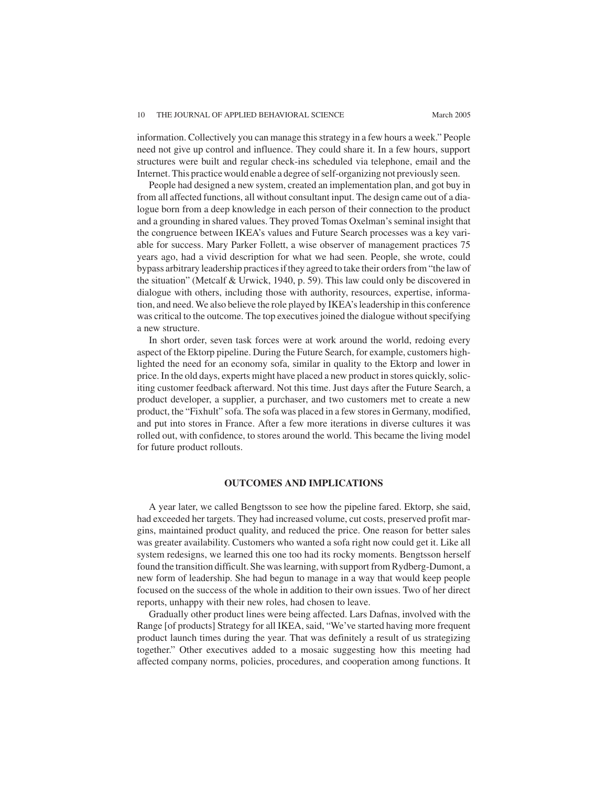information. Collectively you can manage this strategy in a few hours a week." People need not give up control and influence. They could share it. In a few hours, support structures were built and regular check-ins scheduled via telephone, email and the Internet. This practice would enable a degree of self-organizing not previously seen.

People had designed a new system, created an implementation plan, and got buy in from all affected functions, all without consultant input. The design came out of a dialogue born from a deep knowledge in each person of their connection to the product and a grounding in shared values. They proved Tomas Oxelman's seminal insight that the congruence between IKEA's values and Future Search processes was a key variable for success. Mary Parker Follett, a wise observer of management practices 75 years ago, had a vivid description for what we had seen. People, she wrote, could bypass arbitrary leadership practices if they agreed to take their orders from "the law of the situation" (Metcalf & Urwick, 1940, p. 59). This law could only be discovered in dialogue with others, including those with authority, resources, expertise, information, and need. We also believe the role played by IKEA's leadership in this conference was critical to the outcome. The top executives joined the dialogue without specifying a new structure.

In short order, seven task forces were at work around the world, redoing every aspect of the Ektorp pipeline. During the Future Search, for example, customers highlighted the need for an economy sofa, similar in quality to the Ektorp and lower in price. In the old days, experts might have placed a new product in stores quickly, soliciting customer feedback afterward. Not this time. Just days after the Future Search, a product developer, a supplier, a purchaser, and two customers met to create a new product, the "Fixhult" sofa. The sofa was placed in a few stores in Germany, modified, and put into stores in France. After a few more iterations in diverse cultures it was rolled out, with confidence, to stores around the world. This became the living model for future product rollouts.

# **OUTCOMES AND IMPLICATIONS**

A year later, we called Bengtsson to see how the pipeline fared. Ektorp, she said, had exceeded her targets. They had increased volume, cut costs, preserved profit margins, maintained product quality, and reduced the price. One reason for better sales was greater availability. Customers who wanted a sofa right now could get it. Like all system redesigns, we learned this one too had its rocky moments. Bengtsson herself found the transition difficult. She was learning, with support from Rydberg-Dumont, a new form of leadership. She had begun to manage in a way that would keep people focused on the success of the whole in addition to their own issues. Two of her direct reports, unhappy with their new roles, had chosen to leave.

Gradually other product lines were being affected. Lars Dafnas, involved with the Range [of products] Strategy for all IKEA, said, "We've started having more frequent product launch times during the year. That was definitely a result of us strategizing together." Other executives added to a mosaic suggesting how this meeting had affected company norms, policies, procedures, and cooperation among functions. It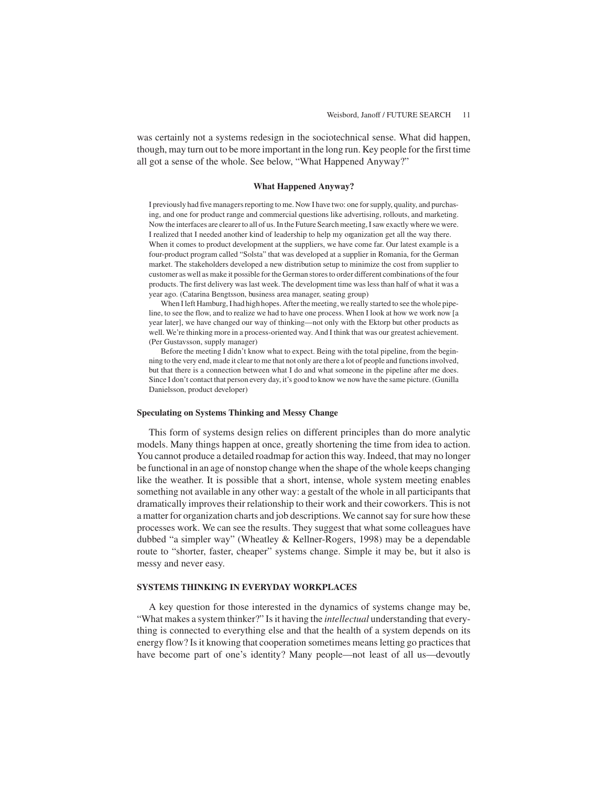was certainly not a systems redesign in the sociotechnical sense. What did happen, though, may turn out to be more important in the long run. Key people for the first time all got a sense of the whole. See below, "What Happened Anyway?"

# **What Happened Anyway?**

I previously had five managers reporting to me. Now I have two: one for supply, quality, and purchasing, and one for product range and commercial questions like advertising, rollouts, and marketing. Now the interfaces are clearer to all of us. In the Future Search meeting, I saw exactly where we were. I realized that I needed another kind of leadership to help my organization get all the way there. When it comes to product development at the suppliers, we have come far. Our latest example is a four-product program called "Solsta" that was developed at a supplier in Romania, for the German market. The stakeholders developed a new distribution setup to minimize the cost from supplier to customer as well as make it possible for the German stores to order different combinations of the four products. The first delivery was last week. The development time was less than half of what it was a year ago. (Catarina Bengtsson, business area manager, seating group)

When I left Hamburg, I had high hopes. After the meeting, we really started to see the whole pipeline, to see the flow, and to realize we had to have one process. When I look at how we work now [a year later], we have changed our way of thinking—not only with the Ektorp but other products as well. We're thinking more in a process-oriented way. And I think that was our greatest achievement. (Per Gustavsson, supply manager)

Before the meeting I didn't know what to expect. Being with the total pipeline, from the beginning to the very end, made it clear to me that not only are there a lot of people and functions involved, but that there is a connection between what I do and what someone in the pipeline after me does. Since I don't contact that person every day, it's good to know we now have the same picture. (Gunilla Danielsson, product developer)

#### **Speculating on Systems Thinking and Messy Change**

This form of systems design relies on different principles than do more analytic models. Many things happen at once, greatly shortening the time from idea to action. You cannot produce a detailed roadmap for action this way. Indeed, that may no longer be functional in an age of nonstop change when the shape of the whole keeps changing like the weather. It is possible that a short, intense, whole system meeting enables something not available in any other way: a gestalt of the whole in all participants that dramatically improves their relationship to their work and their coworkers. This is not a matter for organization charts and job descriptions. We cannot say for sure how these processes work. We can see the results. They suggest that what some colleagues have dubbed "a simpler way" (Wheatley & Kellner-Rogers, 1998) may be a dependable route to "shorter, faster, cheaper" systems change. Simple it may be, but it also is messy and never easy.

# **SYSTEMS THINKING IN EVERYDAY WORKPLACES**

A key question for those interested in the dynamics of systems change may be, "What makes a system thinker?" Is it having the *intellectual* understanding that everything is connected to everything else and that the health of a system depends on its energy flow? Is it knowing that cooperation sometimes means letting go practices that have become part of one's identity? Many people—not least of all us—devoutly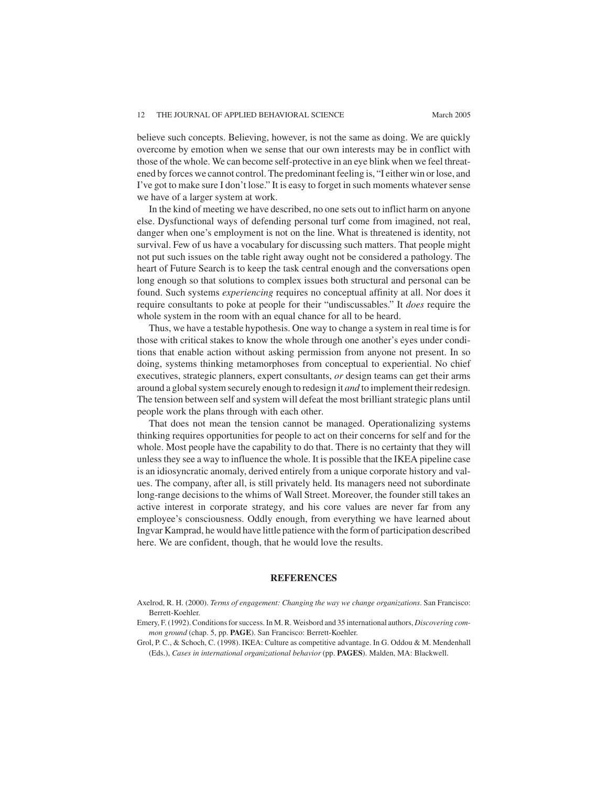believe such concepts. Believing, however, is not the same as doing. We are quickly overcome by emotion when we sense that our own interests may be in conflict with those of the whole. We can become self-protective in an eye blink when we feel threatened by forces we cannot control. The predominant feeling is, "I either win or lose, and I've got to make sure I don't lose." It is easy to forget in such moments whatever sense we have of a larger system at work.

In the kind of meeting we have described, no one sets out to inflict harm on anyone else. Dysfunctional ways of defending personal turf come from imagined, not real, danger when one's employment is not on the line. What is threatened is identity, not survival. Few of us have a vocabulary for discussing such matters. That people might not put such issues on the table right away ought not be considered a pathology. The heart of Future Search is to keep the task central enough and the conversations open long enough so that solutions to complex issues both structural and personal can be found. Such systems *experiencing* requires no conceptual affinity at all. Nor does it require consultants to poke at people for their "undiscussables." It *does* require the whole system in the room with an equal chance for all to be heard.

Thus, we have a testable hypothesis. One way to change a system in real time is for those with critical stakes to know the whole through one another's eyes under conditions that enable action without asking permission from anyone not present. In so doing, systems thinking metamorphoses from conceptual to experiential. No chief executives, strategic planners, expert consultants, *or* design teams can get their arms around a global system securely enough to redesign it *and* to implement their redesign. The tension between self and system will defeat the most brilliant strategic plans until people work the plans through with each other.

That does not mean the tension cannot be managed. Operationalizing systems thinking requires opportunities for people to act on their concerns for self and for the whole. Most people have the capability to do that. There is no certainty that they will unless they see a way to influence the whole. It is possible that the IKEA pipeline case is an idiosyncratic anomaly, derived entirely from a unique corporate history and values. The company, after all, is still privately held. Its managers need not subordinate long-range decisions to the whims of Wall Street. Moreover, the founder still takes an active interest in corporate strategy, and his core values are never far from any employee's consciousness. Oddly enough, from everything we have learned about Ingvar Kamprad, he would have little patience with the form of participation described here. We are confident, though, that he would love the results.

### **REFERENCES**

- Axelrod, R. H. (2000). *Terms of engagement: Changing the way we change organizations*. San Francisco: Berrett-Koehler.
- Emery, F. (1992). Conditions for success. In M. R. Weisbord and 35 international authors, *Discovering common ground* (chap. 5, pp. **PAGE**). San Francisco: Berrett-Koehler.
- Grol, P. C., & Schoch, C. (1998). IKEA: Culture as competitive advantage. In G. Oddou & M. Mendenhall (Eds.), *Cases in international organizational behavior* (pp. **PAGES**). Malden, MA: Blackwell.